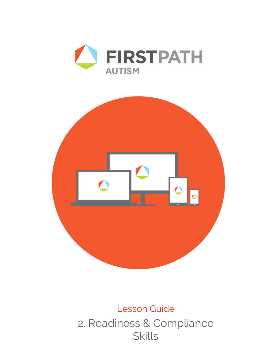



# Lesson Guide 2. Readiness & Compliance Skills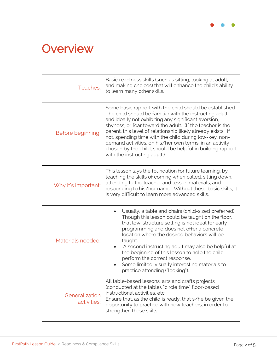

# **Overview**

| Teaches:                      | Basic readiness skills (such as sitting, looking at adult,<br>and making choices) that will enhance the child's ability<br>to learn many other skills.                                                                                                                                                                                                                                                                                                                                                                      |  |
|-------------------------------|-----------------------------------------------------------------------------------------------------------------------------------------------------------------------------------------------------------------------------------------------------------------------------------------------------------------------------------------------------------------------------------------------------------------------------------------------------------------------------------------------------------------------------|--|
| Before beginning:             | Some basic rapport with the child should be established.<br>The child should be familiar with the instructing adult<br>and ideally not exhibiting any significant aversion,<br>shyness, or fear toward the adult. (If the teacher is the<br>parent, this level of relationship likely already exists. If<br>not, spending time with the child during low-key, non-<br>demand activities, on his/her own terms, in an activity<br>chosen by the child, should be helpful in building rapport<br>with the instructing adult.) |  |
| Why it's important:           | This lesson lays the foundation for future learning, by<br>teaching the skills of coming when called, sitting down,<br>attending to the teacher and lesson materials, and<br>responding to his/her name. Without these basic skills, it<br>is very difficult to learn more advanced skills.                                                                                                                                                                                                                                 |  |
| Materials needed:             | Usually, a table and chairs (child-sized preferred).<br>Though this lesson could be taught on the floor,<br>that low-structure setting is not ideal for early<br>programming and does not offer a concrete<br>location where the desired behaviors will be<br>taught.<br>A second instructing adult may also be helpful at<br>$\bullet$<br>the beginning of this lesson to help the child<br>perform the correct response.<br>Some limited, visually interesting materials to<br>practice attending ("looking").            |  |
| Generalization<br>activities: | All table-based lessons, arts and crafts projects<br>(conducted at the table), "circle time" floor-based<br>instructional activities, etc.<br>Ensure that, as the child is ready, that s/he be given the<br>opportunity to practice with new teachers, in order to<br>strengthen these skills.                                                                                                                                                                                                                              |  |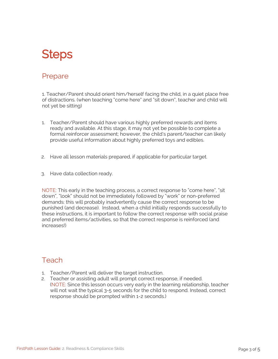# **Steps**

#### Prepare

1. Teacher/Parent should orient him/herself facing the child, in a quiet place free of distractions. (when teaching "come here" and "sit down", teacher and child will not yet be sitting)

- 1. Teacher/Parent should have various highly preferred rewards and items ready and available. At this stage, it may not yet be possible to complete a formal reinforcer assessment; however, the child's parent/teacher can likely provide useful information about highly preferred toys and edibles.
- 2. Have all lesson materials prepared, if applicable for particular target.
- 3. Have data collection ready.

NOTE: This early in the teaching process, a correct response to "come here", "sit down", "look" should not be immediately followed by "work" or non-preferred demands: this will probably inadvertently cause the correct response to be punished (and decrease). Instead, when a child initially responds successfully to these instructions, it is important to follow the correct response with social praise and preferred items/activities, so that the correct response is reinforced (and increases!)

#### Teach

- 1. Teacher/Parent will deliver the target instruction.
- 2. Teacher or assisting adult will prompt correct response, if needed. (NOTE: Since this lesson occurs very early in the learning relationship, teacher will not wait the typical 3-5 seconds for the child to respond. Instead, correct response should be prompted within 1-2 seconds.)